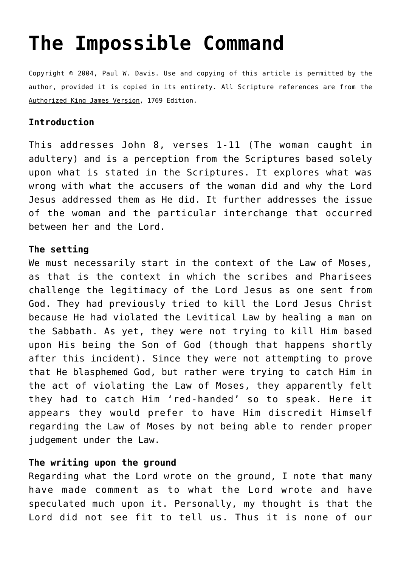# **[The Impossible Command](http://reproachofmen.org/doctrines/the-impossible-command/)**

Copyright © 2004, Paul W. Davis. Use and copying of this article is permitted by the author, provided it is copied in its entirety. All Scripture references are from the Authorized King James Version, 1769 Edition.

# **Introduction**

This addresses John 8, verses 1-11 (The woman caught in adultery) and is a perception from the Scriptures based solely upon what is stated in the Scriptures. It explores what was wrong with what the accusers of the woman did and why the Lord Jesus addressed them as He did. It further addresses the issue of the woman and the particular interchange that occurred between her and the Lord.

# **The setting**

We must necessarily start in the context of the Law of Moses, as that is the context in which the scribes and Pharisees challenge the legitimacy of the Lord Jesus as one sent from God. They had previously tried to kill the Lord Jesus Christ because He had violated the Levitical Law by healing a man on the Sabbath. As yet, they were not trying to kill Him based upon His being the Son of God (though that happens shortly after this incident). Since they were not attempting to prove that He blasphemed God, but rather were trying to catch Him in the act of violating the Law of Moses, they apparently felt they had to catch Him 'red-handed' so to speak. Here it appears they would prefer to have Him discredit Himself regarding the Law of Moses by not being able to render proper judgement under the Law.

# **The writing upon the ground**

Regarding what the Lord wrote on the ground, I note that many have made comment as to what the Lord wrote and have speculated much upon it. Personally, my thought is that the Lord did not see fit to tell us. Thus it is none of our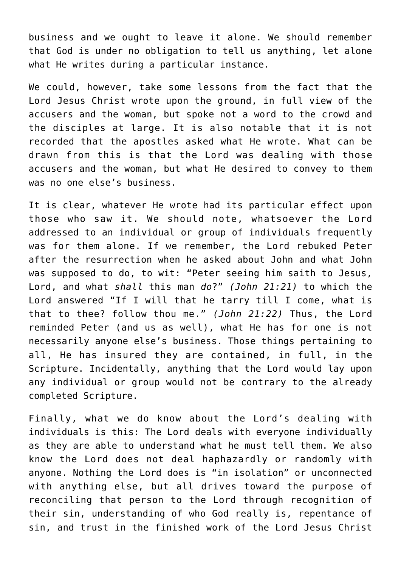business and we ought to leave it alone. We should remember that God is under no obligation to tell us anything, let alone what He writes during a particular instance.

We could, however, take some lessons from the fact that the Lord Jesus Christ wrote upon the ground, in full view of the accusers and the woman, but spoke not a word to the crowd and the disciples at large. It is also notable that it is not recorded that the apostles asked what He wrote. What can be drawn from this is that the Lord was dealing with those accusers and the woman, but what He desired to convey to them was no one else's business.

It is clear, whatever He wrote had its particular effect upon those who saw it. We should note, whatsoever the Lord addressed to an individual or group of individuals frequently was for them alone. If we remember, the Lord rebuked Peter after the resurrection when he asked about John and what John was supposed to do, to wit: "Peter seeing him saith to Jesus, Lord, and what *shall* this man *do*?" *(John 21:21)* to which the Lord answered "If I will that he tarry till I come, what is that to thee? follow thou me." *(John 21:22)* Thus, the Lord reminded Peter (and us as well), what He has for one is not necessarily anyone else's business. Those things pertaining to all, He has insured they are contained, in full, in the Scripture. Incidentally, anything that the Lord would lay upon any individual or group would not be contrary to the already completed Scripture.

Finally, what we do know about the Lord's dealing with individuals is this: The Lord deals with everyone individually as they are able to understand what he must tell them. We also know the Lord does not deal haphazardly or randomly with anyone. Nothing the Lord does is "in isolation" or unconnected with anything else, but all drives toward the purpose of reconciling that person to the Lord through recognition of their sin, understanding of who God really is, repentance of sin, and trust in the finished work of the Lord Jesus Christ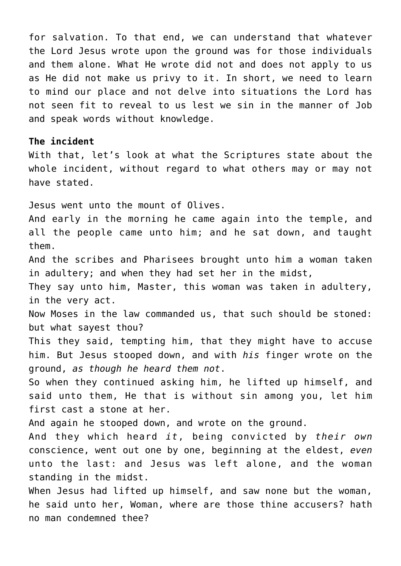for salvation. To that end, we can understand that whatever the Lord Jesus wrote upon the ground was for those individuals and them alone. What He wrote did not and does not apply to us as He did not make us privy to it. In short, we need to learn to mind our place and not delve into situations the Lord has not seen fit to reveal to us lest we sin in the manner of Job and speak words without knowledge.

### **The incident**

With that, let's look at what the Scriptures state about the whole incident, without regard to what others may or may not have stated.

Jesus went unto the mount of Olives.

And early in the morning he came again into the temple, and all the people came unto him; and he sat down, and taught them.

And the scribes and Pharisees brought unto him a woman taken in adultery; and when they had set her in the midst,

They say unto him, Master, this woman was taken in adultery, in the very act.

Now Moses in the law commanded us, that such should be stoned: but what sayest thou?

This they said, tempting him, that they might have to accuse him. But Jesus stooped down, and with *his* finger wrote on the ground, *as though he heard them not*.

So when they continued asking him, he lifted up himself, and said unto them, He that is without sin among you, let him first cast a stone at her.

And again he stooped down, and wrote on the ground.

And they which heard *it*, being convicted by *their own* conscience, went out one by one, beginning at the eldest, *even* unto the last: and Jesus was left alone, and the woman standing in the midst.

When Jesus had lifted up himself, and saw none but the woman, he said unto her, Woman, where are those thine accusers? hath no man condemned thee?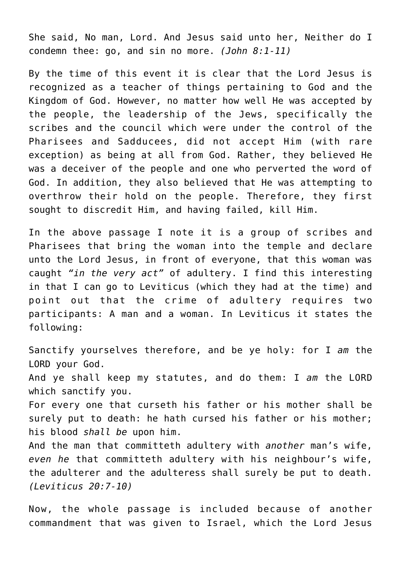She said, No man, Lord. And Jesus said unto her, Neither do I condemn thee: go, and sin no more. *(John 8:1-11)*

By the time of this event it is clear that the Lord Jesus is recognized as a teacher of things pertaining to God and the Kingdom of God. However, no matter how well He was accepted by the people, the leadership of the Jews, specifically the scribes and the council which were under the control of the Pharisees and Sadducees, did not accept Him (with rare exception) as being at all from God. Rather, they believed He was a deceiver of the people and one who perverted the word of God. In addition, they also believed that He was attempting to overthrow their hold on the people. Therefore, they first sought to discredit Him, and having failed, kill Him.

In the above passage I note it is a group of scribes and Pharisees that bring the woman into the temple and declare unto the Lord Jesus, in front of everyone, that this woman was caught *"in the very act"* of adultery. I find this interesting in that I can go to Leviticus (which they had at the time) and point out that the crime of adultery requires two participants: A man and a woman. In Leviticus it states the following:

Sanctify yourselves therefore, and be ye holy: for I *am* the LORD your God. And ye shall keep my statutes, and do them: I *am* the LORD which sanctify you. For every one that curseth his father or his mother shall be surely put to death: he hath cursed his father or his mother; his blood *shall be* upon him. And the man that committeth adultery with *another* man's wife, *even he* that committeth adultery with his neighbour's wife, the adulterer and the adulteress shall surely be put to death. *(Leviticus 20:7-10)*

Now, the whole passage is included because of another commandment that was given to Israel, which the Lord Jesus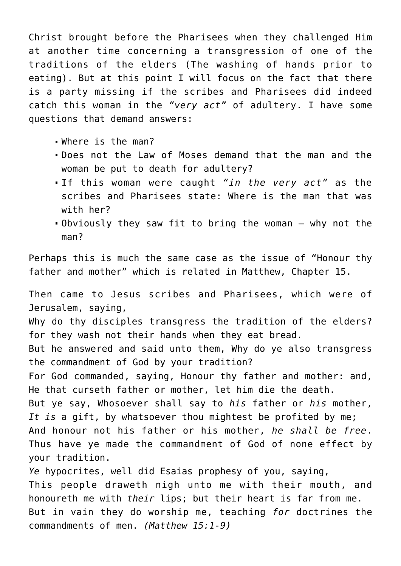Christ brought before the Pharisees when they challenged Him at another time concerning a transgression of one of the traditions of the elders (The washing of hands prior to eating). But at this point I will focus on the fact that there is a party missing if the scribes and Pharisees did indeed catch this woman in the *"very act"* of adultery. I have some questions that demand answers:

- Where is the man?
- Does not the Law of Moses demand that the man and the woman be put to death for adultery?
- If this woman were caught *"in the very act"* as the scribes and Pharisees state: Where is the man that was with her?
- Obviously they saw fit to bring the woman why not the man?

Perhaps this is much the same case as the issue of "Honour thy father and mother" which is related in Matthew, Chapter 15.

Then came to Jesus scribes and Pharisees, which were of Jerusalem, saying, Why do thy disciples transgress the tradition of the elders? for they wash not their hands when they eat bread. But he answered and said unto them, Why do ye also transgress the commandment of God by your tradition? For God commanded, saying, Honour thy father and mother: and, He that curseth father or mother, let him die the death. But ye say, Whosoever shall say to *his* father or *his* mother, *It is* a gift, by whatsoever thou mightest be profited by me; And honour not his father or his mother, *he shall be free*. Thus have ye made the commandment of God of none effect by your tradition. *Ye* hypocrites, well did Esaias prophesy of you, saying, This people draweth nigh unto me with their mouth, and honoureth me with *their* lips; but their heart is far from me.

But in vain they do worship me, teaching *for* doctrines the commandments of men. *(Matthew 15:1-9)*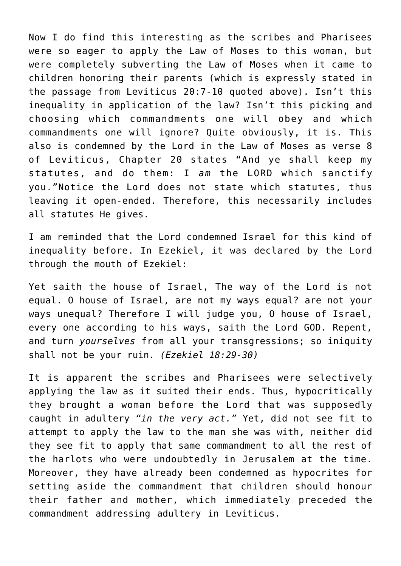Now I do find this interesting as the scribes and Pharisees were so eager to apply the Law of Moses to this woman, but were completely subverting the Law of Moses when it came to children honoring their parents (which is expressly stated in the passage from Leviticus 20:7-10 quoted above). Isn't this inequality in application of the law? Isn't this picking and choosing which commandments one will obey and which commandments one will ignore? Quite obviously, it is. This also is condemned by the Lord in the Law of Moses as verse 8 of Leviticus, Chapter 20 states "And ye shall keep my statutes, and do them: I *am* the LORD which sanctify you."Notice the Lord does not state which statutes, thus leaving it open-ended. Therefore, this necessarily includes all statutes He gives.

I am reminded that the Lord condemned Israel for this kind of inequality before. In Ezekiel, it was declared by the Lord through the mouth of Ezekiel:

Yet saith the house of Israel, The way of the Lord is not equal. O house of Israel, are not my ways equal? are not your ways unequal? Therefore I will judge you, O house of Israel, every one according to his ways, saith the Lord GOD. Repent, and turn *yourselves* from all your transgressions; so iniquity shall not be your ruin. *(Ezekiel 18:29-30)*

It is apparent the scribes and Pharisees were selectively applying the law as it suited their ends. Thus, hypocritically they brought a woman before the Lord that was supposedly caught in adultery *"in the very act."* Yet, did not see fit to attempt to apply the law to the man she was with, neither did they see fit to apply that same commandment to all the rest of the harlots who were undoubtedly in Jerusalem at the time. Moreover, they have already been condemned as hypocrites for setting aside the commandment that children should honour their father and mother, which immediately preceded the commandment addressing adultery in Leviticus.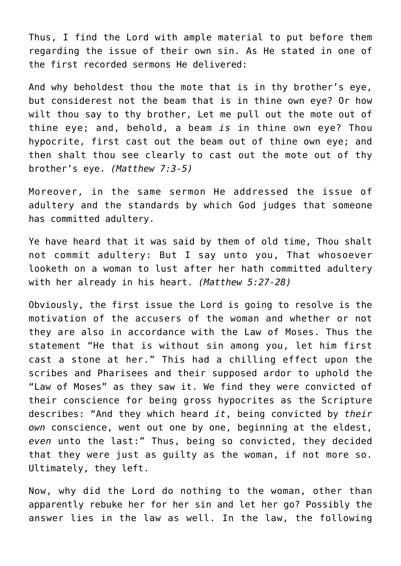Thus, I find the Lord with ample material to put before them regarding the issue of their own sin. As He stated in one of the first recorded sermons He delivered:

And why beholdest thou the mote that is in thy brother's eye, but considerest not the beam that is in thine own eye? Or how wilt thou say to thy brother, Let me pull out the mote out of thine eye; and, behold, a beam *is* in thine own eye? Thou hypocrite, first cast out the beam out of thine own eye; and then shalt thou see clearly to cast out the mote out of thy brother's eye. *(Matthew 7:3-5)*

Moreover, in the same sermon He addressed the issue of adultery and the standards by which God judges that someone has committed adultery.

Ye have heard that it was said by them of old time, Thou shalt not commit adultery: But I say unto you, That whosoever looketh on a woman to lust after her hath committed adultery with her already in his heart. *(Matthew 5:27-28)*

Obviously, the first issue the Lord is going to resolve is the motivation of the accusers of the woman and whether or not they are also in accordance with the Law of Moses. Thus the statement "He that is without sin among you, let him first cast a stone at her." This had a chilling effect upon the scribes and Pharisees and their supposed ardor to uphold the "Law of Moses" as they saw it. We find they were convicted of their conscience for being gross hypocrites as the Scripture describes: "And they which heard *it*, being convicted by *their own* conscience, went out one by one, beginning at the eldest, *even* unto the last:" Thus, being so convicted, they decided that they were just as guilty as the woman, if not more so. Ultimately, they left.

Now, why did the Lord do nothing to the woman, other than apparently rebuke her for her sin and let her go? Possibly the answer lies in the law as well. In the law, the following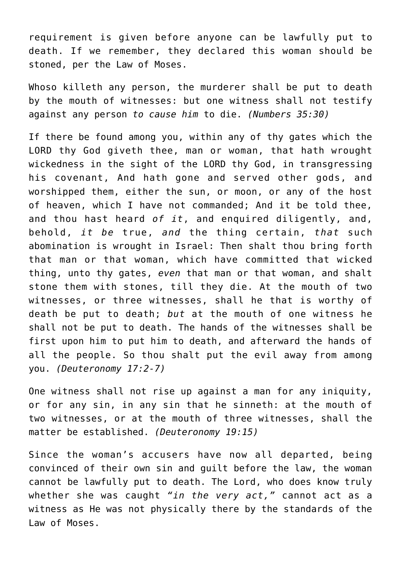requirement is given before anyone can be lawfully put to death. If we remember, they declared this woman should be stoned, per the Law of Moses.

Whoso killeth any person, the murderer shall be put to death by the mouth of witnesses: but one witness shall not testify against any person *to cause him* to die. *(Numbers 35:30)*

If there be found among you, within any of thy gates which the LORD thy God giveth thee, man or woman, that hath wrought wickedness in the sight of the LORD thy God, in transgressing his covenant, And hath gone and served other gods, and worshipped them, either the sun, or moon, or any of the host of heaven, which I have not commanded; And it be told thee, and thou hast heard *of it*, and enquired diligently, and, behold, *it be* true, *and* the thing certain, *that* such abomination is wrought in Israel: Then shalt thou bring forth that man or that woman, which have committed that wicked thing, unto thy gates, *even* that man or that woman, and shalt stone them with stones, till they die. At the mouth of two witnesses, or three witnesses, shall he that is worthy of death be put to death; *but* at the mouth of one witness he shall not be put to death. The hands of the witnesses shall be first upon him to put him to death, and afterward the hands of all the people. So thou shalt put the evil away from among you. *(Deuteronomy 17:2-7)*

One witness shall not rise up against a man for any iniquity, or for any sin, in any sin that he sinneth: at the mouth of two witnesses, or at the mouth of three witnesses, shall the matter be established. *(Deuteronomy 19:15)*

Since the woman's accusers have now all departed, being convinced of their own sin and guilt before the law, the woman cannot be lawfully put to death. The Lord, who does know truly whether she was caught *"in the very act,"* cannot act as a witness as He was not physically there by the standards of the Law of Moses.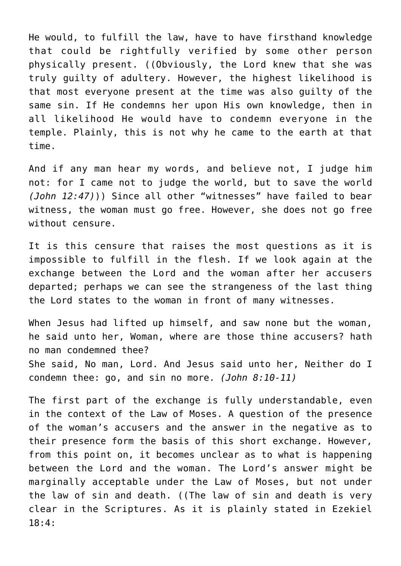He would, to fulfill the law, have to have firsthand knowledge that could be rightfully verified by some other person physically present. ((Obviously, the Lord knew that she was truly guilty of adultery. However, the highest likelihood is that most everyone present at the time was also guilty of the same sin. If He condemns her upon His own knowledge, then in all likelihood He would have to condemn everyone in the temple. Plainly, this is not why he came to the earth at that time.

And if any man hear my words, and believe not, I judge him not: for I came not to judge the world, but to save the world *(John 12:47)*)) Since all other "witnesses" have failed to bear witness, the woman must go free. However, she does not go free without censure.

It is this censure that raises the most questions as it is impossible to fulfill in the flesh. If we look again at the exchange between the Lord and the woman after her accusers departed; perhaps we can see the strangeness of the last thing the Lord states to the woman in front of many witnesses.

When Jesus had lifted up himself, and saw none but the woman, he said unto her, Woman, where are those thine accusers? hath no man condemned thee? She said, No man, Lord. And Jesus said unto her, Neither do I

condemn thee: go, and sin no more. *(John 8:10-11)*

The first part of the exchange is fully understandable, even in the context of the Law of Moses. A question of the presence of the woman's accusers and the answer in the negative as to their presence form the basis of this short exchange. However, from this point on, it becomes unclear as to what is happening between the Lord and the woman. The Lord's answer might be marginally acceptable under the Law of Moses, but not under the law of sin and death. ((The law of sin and death is very clear in the Scriptures. As it is plainly stated in Ezekiel 18:4: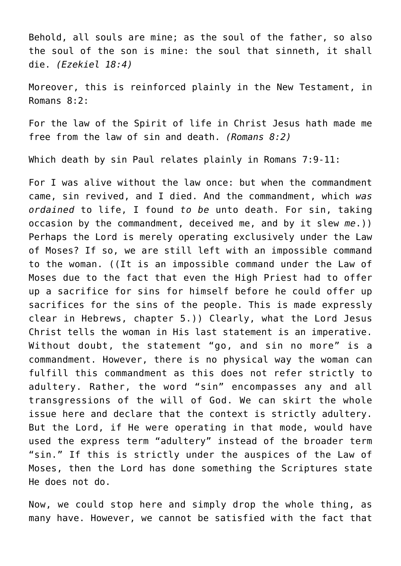Behold, all souls are mine; as the soul of the father, so also the soul of the son is mine: the soul that sinneth, it shall die. *(Ezekiel 18:4)*

Moreover, this is reinforced plainly in the New Testament, in Romans 8:2:

For the law of the Spirit of life in Christ Jesus hath made me free from the law of sin and death. *(Romans 8:2)*

Which death by sin Paul relates plainly in Romans 7:9-11:

For I was alive without the law once: but when the commandment came, sin revived, and I died. And the commandment, which *was ordained* to life, I found *to be* unto death. For sin, taking occasion by the commandment, deceived me, and by it slew *me*.)) Perhaps the Lord is merely operating exclusively under the Law of Moses? If so, we are still left with an impossible command to the woman. ((It is an impossible command under the Law of Moses due to the fact that even the High Priest had to offer up a sacrifice for sins for himself before he could offer up sacrifices for the sins of the people. This is made expressly clear in Hebrews, chapter 5.)) Clearly, what the Lord Jesus Christ tells the woman in His last statement is an imperative. Without doubt, the statement "go, and sin no more" is a commandment. However, there is no physical way the woman can fulfill this commandment as this does not refer strictly to adultery. Rather, the word "sin" encompasses any and all transgressions of the will of God. We can skirt the whole issue here and declare that the context is strictly adultery. But the Lord, if He were operating in that mode, would have used the express term "adultery" instead of the broader term "sin." If this is strictly under the auspices of the Law of Moses, then the Lord has done something the Scriptures state He does not do.

Now, we could stop here and simply drop the whole thing, as many have. However, we cannot be satisfied with the fact that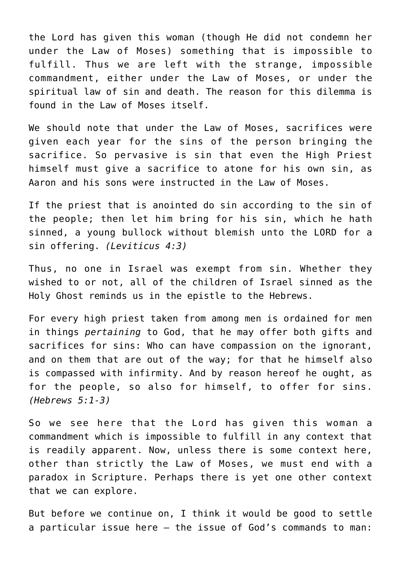the Lord has given this woman (though He did not condemn her under the Law of Moses) something that is impossible to fulfill. Thus we are left with the strange, impossible commandment, either under the Law of Moses, or under the spiritual law of sin and death. The reason for this dilemma is found in the Law of Moses itself.

We should note that under the Law of Moses, sacrifices were given each year for the sins of the person bringing the sacrifice. So pervasive is sin that even the High Priest himself must give a sacrifice to atone for his own sin, as Aaron and his sons were instructed in the Law of Moses.

If the priest that is anointed do sin according to the sin of the people; then let him bring for his sin, which he hath sinned, a young bullock without blemish unto the LORD for a sin offering. *(Leviticus 4:3)*

Thus, no one in Israel was exempt from sin. Whether they wished to or not, all of the children of Israel sinned as the Holy Ghost reminds us in the epistle to the Hebrews.

For every high priest taken from among men is ordained for men in things *pertaining* to God, that he may offer both gifts and sacrifices for sins: Who can have compassion on the ignorant, and on them that are out of the way; for that he himself also is compassed with infirmity. And by reason hereof he ought, as for the people, so also for himself, to offer for sins. *(Hebrews 5:1-3)*

So we see here that the Lord has given this woman a commandment which is impossible to fulfill in any context that is readily apparent. Now, unless there is some context here, other than strictly the Law of Moses, we must end with a paradox in Scripture. Perhaps there is yet one other context that we can explore.

But before we continue on, I think it would be good to settle a particular issue here – the issue of God's commands to man: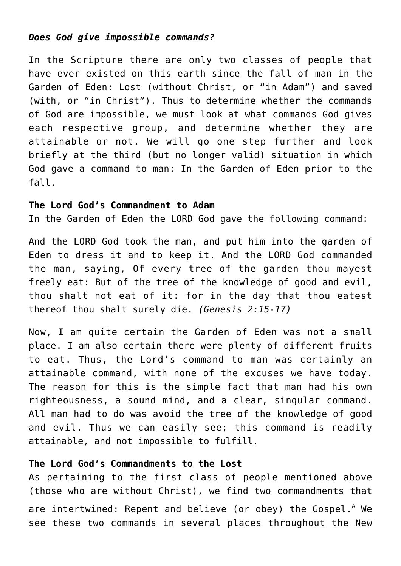# *Does God give impossible commands?*

In the Scripture there are only two classes of people that have ever existed on this earth since the fall of man in the Garden of Eden: Lost (without Christ, or "in Adam") and saved (with, or "in Christ"). Thus to determine whether the commands of God are impossible, we must look at what commands God gives each respective group, and determine whether they are attainable or not. We will go one step further and look briefly at the third (but no longer valid) situation in which God gave a command to man: In the Garden of Eden prior to the fall.

### **The Lord God's Commandment to Adam**

In the Garden of Eden the LORD God gave the following command:

And the LORD God took the man, and put him into the garden of Eden to dress it and to keep it. And the LORD God commanded the man, saying, Of every tree of the garden thou mayest freely eat: But of the tree of the knowledge of good and evil, thou shalt not eat of it: for in the day that thou eatest thereof thou shalt surely die. *(Genesis 2:15-17)*

Now, I am quite certain the Garden of Eden was not a small place. I am also certain there were plenty of different fruits to eat. Thus, the Lord's command to man was certainly an attainable command, with none of the excuses we have today. The reason for this is the simple fact that man had his own righteousness, a sound mind, and a clear, singular command. All man had to do was avoid the tree of the knowledge of good and evil. Thus we can easily see; this command is readily attainable, and not impossible to fulfill.

# **The Lord God's Commandments to the Lost**

As pertaining to the first class of people mentioned above (those who are without Christ), we find two commandments that are intertwined: Repent and believe (or obey) the Gospel.<sup>[A](http://www.reproachofmen.org/blog/doctrines/the-impossible-command/the-impossible-command-endnote/)</sup> We see these two commands in several places throughout the New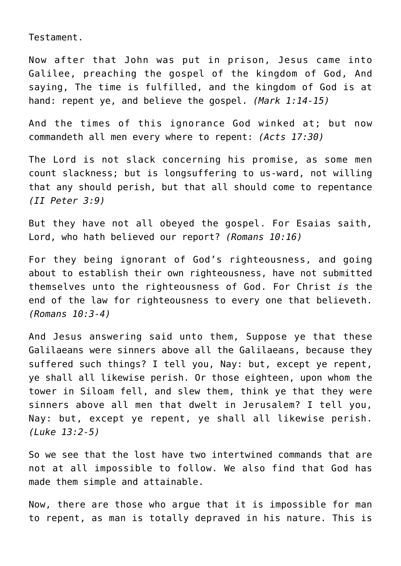Testament.

Now after that John was put in prison, Jesus came into Galilee, preaching the gospel of the kingdom of God, And saying, The time is fulfilled, and the kingdom of God is at hand: repent ye, and believe the gospel. *(Mark 1:14-15)*

And the times of this ignorance God winked at; but now commandeth all men every where to repent: *(Acts 17:30)*

The Lord is not slack concerning his promise, as some men count slackness; but is longsuffering to us-ward, not willing that any should perish, but that all should come to repentance *(II Peter 3:9)*

But they have not all obeyed the gospel. For Esaias saith, Lord, who hath believed our report? *(Romans 10:16)*

For they being ignorant of God's righteousness, and going about to establish their own righteousness, have not submitted themselves unto the righteousness of God. For Christ *is* the end of the law for righteousness to every one that believeth. *(Romans 10:3-4)*

And Jesus answering said unto them, Suppose ye that these Galilaeans were sinners above all the Galilaeans, because they suffered such things? I tell you, Nay: but, except ye repent, ye shall all likewise perish. Or those eighteen, upon whom the tower in Siloam fell, and slew them, think ye that they were sinners above all men that dwelt in Jerusalem? I tell you, Nay: but, except ye repent, ye shall all likewise perish. *(Luke 13:2-5)*

So we see that the lost have two intertwined commands that are not at all impossible to follow. We also find that God has made them simple and attainable.

Now, there are those who argue that it is impossible for man to repent, as man is totally depraved in his nature. This is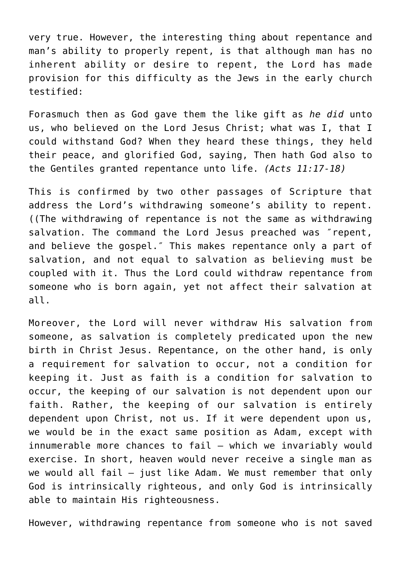very true. However, the interesting thing about repentance and man's ability to properly repent, is that although man has no inherent ability or desire to repent, the Lord has made provision for this difficulty as the Jews in the early church testified:

Forasmuch then as God gave them the like gift as *he did* unto us, who believed on the Lord Jesus Christ; what was I, that I could withstand God? When they heard these things, they held their peace, and glorified God, saying, Then hath God also to the Gentiles granted repentance unto life. *(Acts 11:17-18)*

This is confirmed by two other passages of Scripture that address the Lord's withdrawing someone's ability to repent. ((The withdrawing of repentance is not the same as withdrawing salvation. The command the Lord Jesus preached was ″repent, and believe the gospel.″ This makes repentance only a part of salvation, and not equal to salvation as believing must be coupled with it. Thus the Lord could withdraw repentance from someone who is born again, yet not affect their salvation at all.

Moreover, the Lord will never withdraw His salvation from someone, as salvation is completely predicated upon the new birth in Christ Jesus. Repentance, on the other hand, is only a requirement for salvation to occur, not a condition for keeping it. Just as faith is a condition for salvation to occur, the keeping of our salvation is not dependent upon our faith. Rather, the keeping of our salvation is entirely dependent upon Christ, not us. If it were dependent upon us, we would be in the exact same position as Adam, except with innumerable more chances to fail — which we invariably would exercise. In short, heaven would never receive a single man as we would all fail — just like Adam. We must remember that only God is intrinsically righteous, and only God is intrinsically able to maintain His righteousness.

However, withdrawing repentance from someone who is not saved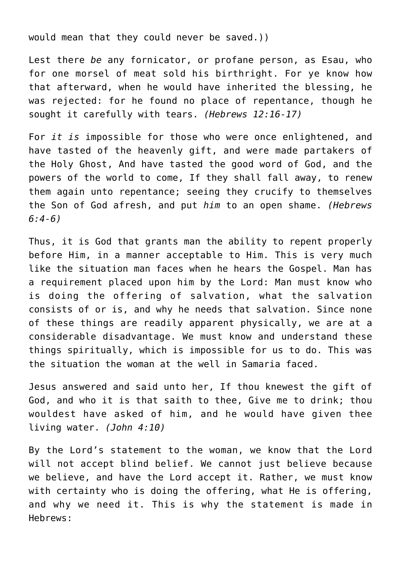would mean that they could never be saved.))

Lest there *be* any fornicator, or profane person, as Esau, who for one morsel of meat sold his birthright. For ye know how that afterward, when he would have inherited the blessing, he was rejected: for he found no place of repentance, though he sought it carefully with tears. *(Hebrews 12:16-17)*

For *it is* impossible for those who were once enlightened, and have tasted of the heavenly gift, and were made partakers of the Holy Ghost, And have tasted the good word of God, and the powers of the world to come, If they shall fall away, to renew them again unto repentance; seeing they crucify to themselves the Son of God afresh, and put *him* to an open shame. *(Hebrews 6:4-6)*

Thus, it is God that grants man the ability to repent properly before Him, in a manner acceptable to Him. This is very much like the situation man faces when he hears the Gospel. Man has a requirement placed upon him by the Lord: Man must know who is doing the offering of salvation, what the salvation consists of or is, and why he needs that salvation. Since none of these things are readily apparent physically, we are at a considerable disadvantage. We must know and understand these things spiritually, which is impossible for us to do. This was the situation the woman at the well in Samaria faced.

Jesus answered and said unto her, If thou knewest the gift of God, and who it is that saith to thee, Give me to drink; thou wouldest have asked of him, and he would have given thee living water. *(John 4:10)*

By the Lord's statement to the woman, we know that the Lord will not accept blind belief. We cannot just believe because we believe, and have the Lord accept it. Rather, we must know with certainty who is doing the offering, what He is offering, and why we need it. This is why the statement is made in Hebrews: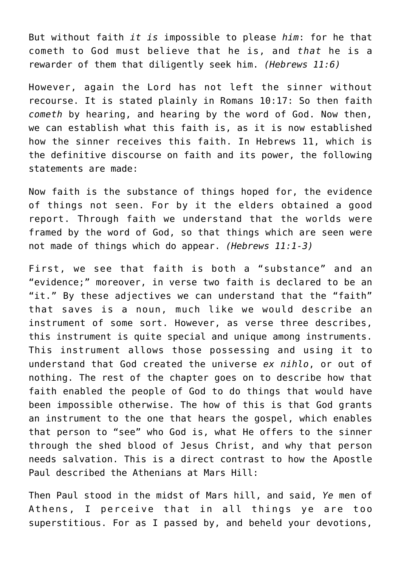But without faith *it is* impossible to please *him*: for he that cometh to God must believe that he is, and *that* he is a rewarder of them that diligently seek him. *(Hebrews 11:6)*

However, again the Lord has not left the sinner without recourse. It is stated plainly in Romans 10:17: So then faith *cometh* by hearing, and hearing by the word of God. Now then, we can establish what this faith is, as it is now established how the sinner receives this faith. In Hebrews 11, which is the definitive discourse on faith and its power, the following statements are made:

Now faith is the substance of things hoped for, the evidence of things not seen. For by it the elders obtained a good report. Through faith we understand that the worlds were framed by the word of God, so that things which are seen were not made of things which do appear. *(Hebrews 11:1-3)*

First, we see that faith is both a "substance" and an "evidence;" moreover, in verse two faith is declared to be an "it." By these adjectives we can understand that the "faith" that saves is a noun, much like we would describe an instrument of some sort. However, as verse three describes, this instrument is quite special and unique among instruments. This instrument allows those possessing and using it to understand that God created the universe *ex nihlo*, or out of nothing. The rest of the chapter goes on to describe how that faith enabled the people of God to do things that would have been impossible otherwise. The how of this is that God grants an instrument to the one that hears the gospel, which enables that person to "see" who God is, what He offers to the sinner through the shed blood of Jesus Christ, and why that person needs salvation. This is a direct contrast to how the Apostle Paul described the Athenians at Mars Hill:

Then Paul stood in the midst of Mars hill, and said, *Ye* men of Athens, I perceive that in all things ye are too superstitious. For as I passed by, and beheld your devotions,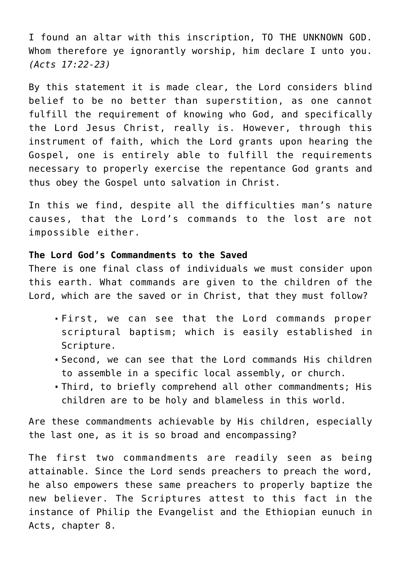I found an altar with this inscription, TO THE UNKNOWN GOD. Whom therefore ye ignorantly worship, him declare I unto you. *(Acts 17:22-23)*

By this statement it is made clear, the Lord considers blind belief to be no better than superstition, as one cannot fulfill the requirement of knowing who God, and specifically the Lord Jesus Christ, really is. However, through this instrument of faith, which the Lord grants upon hearing the Gospel, one is entirely able to fulfill the requirements necessary to properly exercise the repentance God grants and thus obey the Gospel unto salvation in Christ.

In this we find, despite all the difficulties man's nature causes, that the Lord's commands to the lost are not impossible either.

# **The Lord God's Commandments to the Saved**

There is one final class of individuals we must consider upon this earth. What commands are given to the children of the Lord, which are the saved or in Christ, that they must follow?

- First, we can see that the Lord commands proper scriptural baptism; which is easily established in Scripture.
- Second, we can see that the Lord commands His children to assemble in a specific local assembly, or church.
- Third, to briefly comprehend all other commandments; His children are to be holy and blameless in this world.

Are these commandments achievable by His children, especially the last one, as it is so broad and encompassing?

The first two commandments are readily seen as being attainable. Since the Lord sends preachers to preach the word, he also empowers these same preachers to properly baptize the new believer. The Scriptures attest to this fact in the instance of Philip the Evangelist and the Ethiopian eunuch in Acts, chapter 8.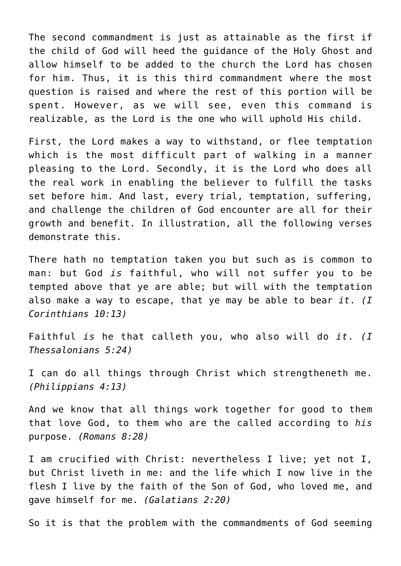The second commandment is just as attainable as the first if the child of God will heed the guidance of the Holy Ghost and allow himself to be added to the church the Lord has chosen for him. Thus, it is this third commandment where the most question is raised and where the rest of this portion will be spent. However, as we will see, even this command is realizable, as the Lord is the one who will uphold His child.

First, the Lord makes a way to withstand, or flee temptation which is the most difficult part of walking in a manner pleasing to the Lord. Secondly, it is the Lord who does all the real work in enabling the believer to fulfill the tasks set before him. And last, every trial, temptation, suffering, and challenge the children of God encounter are all for their growth and benefit. In illustration, all the following verses demonstrate this.

There hath no temptation taken you but such as is common to man: but God *is* faithful, who will not suffer you to be tempted above that ye are able; but will with the temptation also make a way to escape, that ye may be able to bear *it*. *(I Corinthians 10:13)*

Faithful *is* he that calleth you, who also will do *it*. *(I Thessalonians 5:24)*

I can do all things through Christ which strengtheneth me. *(Philippians 4:13)*

And we know that all things work together for good to them that love God, to them who are the called according to *his* purpose. *(Romans 8:28)*

I am crucified with Christ: nevertheless I live; yet not I, but Christ liveth in me: and the life which I now live in the flesh I live by the faith of the Son of God, who loved me, and gave himself for me. *(Galatians 2:20)*

So it is that the problem with the commandments of God seeming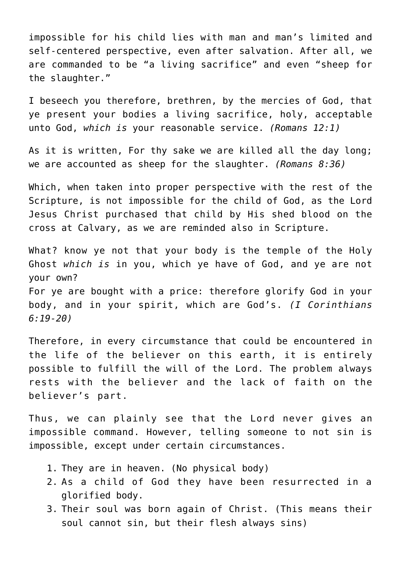impossible for his child lies with man and man's limited and self-centered perspective, even after salvation. After all, we are commanded to be "a living sacrifice" and even "sheep for the slaughter."

I beseech you therefore, brethren, by the mercies of God, that ye present your bodies a living sacrifice, holy, acceptable unto God, *which is* your reasonable service. *(Romans 12:1)*

As it is written, For thy sake we are killed all the day long; we are accounted as sheep for the slaughter. *(Romans 8:36)*

Which, when taken into proper perspective with the rest of the Scripture, is not impossible for the child of God, as the Lord Jesus Christ purchased that child by His shed blood on the cross at Calvary, as we are reminded also in Scripture.

What? know ye not that your body is the temple of the Holy Ghost *which is* in you, which ye have of God, and ye are not your own? For ye are bought with a price: therefore glorify God in your body, and in your spirit, which are God's. *(I Corinthians 6:19-20)*

Therefore, in every circumstance that could be encountered in the life of the believer on this earth, it is entirely possible to fulfill the will of the Lord. The problem always rests with the believer and the lack of faith on the believer's part.

Thus, we can plainly see that the Lord never gives an impossible command. However, telling someone to not sin is impossible, except under certain circumstances.

- 1. They are in heaven. (No physical body)
- 2. As a child of God they have been resurrected in a glorified body.
- 3. Their soul was born again of Christ. (This means their soul cannot sin, but their flesh always sins)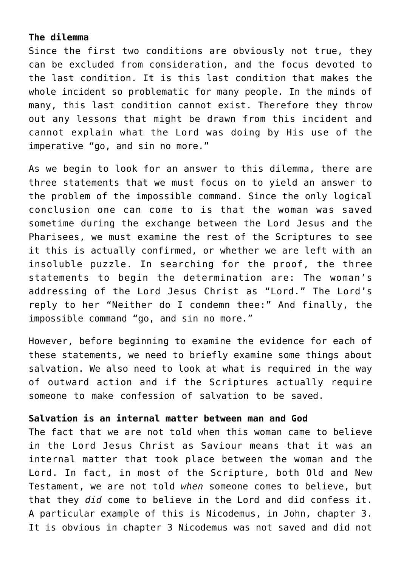# **The dilemma**

Since the first two conditions are obviously not true, they can be excluded from consideration, and the focus devoted to the last condition. It is this last condition that makes the whole incident so problematic for many people. In the minds of many, this last condition cannot exist. Therefore they throw out any lessons that might be drawn from this incident and cannot explain what the Lord was doing by His use of the imperative "go, and sin no more."

As we begin to look for an answer to this dilemma, there are three statements that we must focus on to yield an answer to the problem of the impossible command. Since the only logical conclusion one can come to is that the woman was saved sometime during the exchange between the Lord Jesus and the Pharisees, we must examine the rest of the Scriptures to see it this is actually confirmed, or whether we are left with an insoluble puzzle. In searching for the proof, the three statements to begin the determination are: The woman's addressing of the Lord Jesus Christ as "Lord." The Lord's reply to her "Neither do I condemn thee:" And finally, the impossible command "go, and sin no more."

However, before beginning to examine the evidence for each of these statements, we need to briefly examine some things about salvation. We also need to look at what is required in the way of outward action and if the Scriptures actually require someone to make confession of salvation to be saved.

## **Salvation is an internal matter between man and God**

The fact that we are not told when this woman came to believe in the Lord Jesus Christ as Saviour means that it was an internal matter that took place between the woman and the Lord. In fact, in most of the Scripture, both Old and New Testament, we are not told *when* someone comes to believe, but that they *did* come to believe in the Lord and did confess it. A particular example of this is Nicodemus, in John, chapter 3. It is obvious in chapter 3 Nicodemus was not saved and did not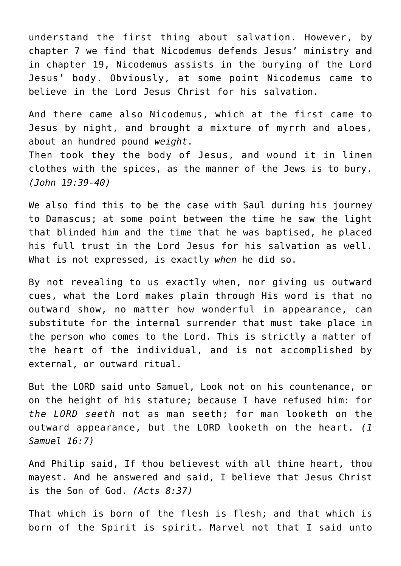understand the first thing about salvation. However, by chapter 7 we find that Nicodemus defends Jesus' ministry and in chapter 19, Nicodemus assists in the burying of the Lord Jesus' body. Obviously, at some point Nicodemus came to believe in the Lord Jesus Christ for his salvation.

And there came also Nicodemus, which at the first came to Jesus by night, and brought a mixture of myrrh and aloes, about an hundred pound *weight*. Then took they the body of Jesus, and wound it in linen clothes with the spices, as the manner of the Jews is to bury. *(John 19:39-40)*

We also find this to be the case with Saul during his journey to Damascus; at some point between the time he saw the light that blinded him and the time that he was baptised, he placed his full trust in the Lord Jesus for his salvation as well. What is not expressed, is exactly *when* he did so.

By not revealing to us exactly when, nor giving us outward cues, what the Lord makes plain through His word is that no outward show, no matter how wonderful in appearance, can substitute for the internal surrender that must take place in the person who comes to the Lord. This is strictly a matter of the heart of the individual, and is not accomplished by external, or outward ritual.

But the LORD said unto Samuel, Look not on his countenance, or on the height of his stature; because I have refused him: for *the LORD seeth* not as man seeth; for man looketh on the outward appearance, but the LORD looketh on the heart. *(1 Samuel 16:7)*

And Philip said, If thou believest with all thine heart, thou mayest. And he answered and said, I believe that Jesus Christ is the Son of God. *(Acts 8:37)*

That which is born of the flesh is flesh; and that which is born of the Spirit is spirit. Marvel not that I said unto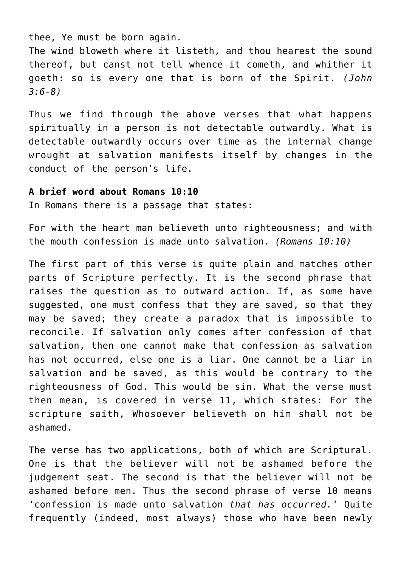thee, Ye must be born again.

The wind bloweth where it listeth, and thou hearest the sound thereof, but canst not tell whence it cometh, and whither it goeth: so is every one that is born of the Spirit. *(John 3:6-8)*

Thus we find through the above verses that what happens spiritually in a person is not detectable outwardly. What is detectable outwardly occurs over time as the internal change wrought at salvation manifests itself by changes in the conduct of the person's life.

## **A brief word about Romans 10:10**

In Romans there is a passage that states:

For with the heart man believeth unto righteousness; and with the mouth confession is made unto salvation. *(Romans 10:10)*

The first part of this verse is quite plain and matches other parts of Scripture perfectly. It is the second phrase that raises the question as to outward action. If, as some have suggested, one must confess that they are saved, so that they may be saved; they create a paradox that is impossible to reconcile. If salvation only comes after confession of that salvation, then one cannot make that confession as salvation has not occurred, else one is a liar. One cannot be a liar in salvation and be saved, as this would be contrary to the righteousness of God. This would be sin. What the verse must then mean, is covered in verse 11, which states: For the scripture saith, Whosoever believeth on him shall not be ashamed.

The verse has two applications, both of which are Scriptural. One is that the believer will not be ashamed before the judgement seat. The second is that the believer will not be ashamed before men. Thus the second phrase of verse 10 means 'confession is made unto salvation *that has occurred.'* Quite frequently (indeed, most always) those who have been newly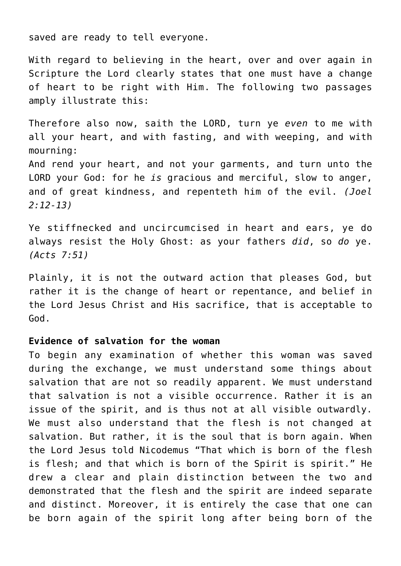saved are ready to tell everyone.

With regard to believing in the heart, over and over again in Scripture the Lord clearly states that one must have a change of heart to be right with Him. The following two passages amply illustrate this:

Therefore also now, saith the LORD, turn ye *even* to me with all your heart, and with fasting, and with weeping, and with mourning:

And rend your heart, and not your garments, and turn unto the LORD your God: for he *is* gracious and merciful, slow to anger, and of great kindness, and repenteth him of the evil. *(Joel 2:12-13)*

Ye stiffnecked and uncircumcised in heart and ears, ye do always resist the Holy Ghost: as your fathers *did*, so *do* ye. *(Acts 7:51)*

Plainly, it is not the outward action that pleases God, but rather it is the change of heart or repentance, and belief in the Lord Jesus Christ and His sacrifice, that is acceptable to God.

## **Evidence of salvation for the woman**

To begin any examination of whether this woman was saved during the exchange, we must understand some things about salvation that are not so readily apparent. We must understand that salvation is not a visible occurrence. Rather it is an issue of the spirit, and is thus not at all visible outwardly. We must also understand that the flesh is not changed at salvation. But rather, it is the soul that is born again. When the Lord Jesus told Nicodemus "That which is born of the flesh is flesh; and that which is born of the Spirit is spirit." He drew a clear and plain distinction between the two and demonstrated that the flesh and the spirit are indeed separate and distinct. Moreover, it is entirely the case that one can be born again of the spirit long after being born of the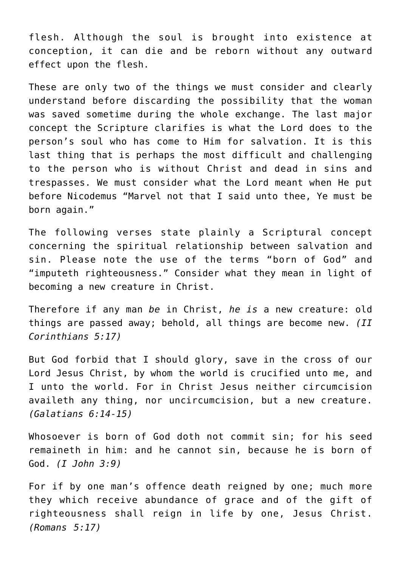flesh. Although the soul is brought into existence at conception, it can die and be reborn without any outward effect upon the flesh.

These are only two of the things we must consider and clearly understand before discarding the possibility that the woman was saved sometime during the whole exchange. The last major concept the Scripture clarifies is what the Lord does to the person's soul who has come to Him for salvation. It is this last thing that is perhaps the most difficult and challenging to the person who is without Christ and dead in sins and trespasses. We must consider what the Lord meant when He put before Nicodemus "Marvel not that I said unto thee, Ye must be born again."

The following verses state plainly a Scriptural concept concerning the spiritual relationship between salvation and sin. Please note the use of the terms "born of God" and "imputeth righteousness." Consider what they mean in light of becoming a new creature in Christ.

Therefore if any man *be* in Christ, *he is* a new creature: old things are passed away; behold, all things are become new. *(II Corinthians 5:17)*

But God forbid that I should glory, save in the cross of our Lord Jesus Christ, by whom the world is crucified unto me, and I unto the world. For in Christ Jesus neither circumcision availeth any thing, nor uncircumcision, but a new creature. *(Galatians 6:14-15)*

Whosoever is born of God doth not commit sin; for his seed remaineth in him: and he cannot sin, because he is born of God. *(I John 3:9)*

For if by one man's offence death reigned by one; much more they which receive abundance of grace and of the gift of righteousness shall reign in life by one, Jesus Christ. *(Romans 5:17)*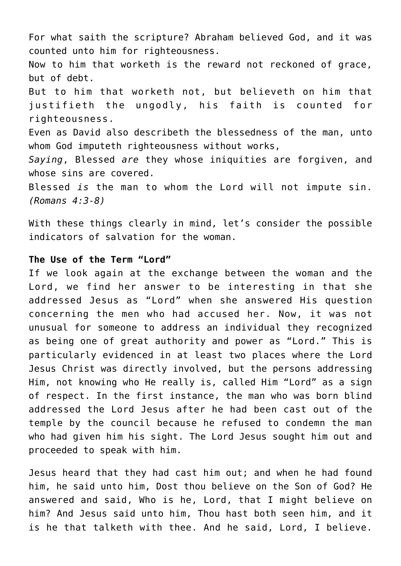For what saith the scripture? Abraham believed God, and it was counted unto him for righteousness.

Now to him that worketh is the reward not reckoned of grace, but of debt.

But to him that worketh not, but believeth on him that justifieth the ungodly, his faith is counted for righteousness.

Even as David also describeth the blessedness of the man, unto whom God imputeth righteousness without works,

*Saying*, Blessed *are* they whose iniquities are forgiven, and whose sins are covered.

Blessed *is* the man to whom the Lord will not impute sin. *(Romans 4:3-8)*

With these things clearly in mind, let's consider the possible indicators of salvation for the woman.

## **The Use of the Term "Lord"**

If we look again at the exchange between the woman and the Lord, we find her answer to be interesting in that she addressed Jesus as "Lord" when she answered His question concerning the men who had accused her. Now, it was not unusual for someone to address an individual they recognized as being one of great authority and power as "Lord." This is particularly evidenced in at least two places where the Lord Jesus Christ was directly involved, but the persons addressing Him, not knowing who He really is, called Him "Lord" as a sign of respect. In the first instance, the man who was born blind addressed the Lord Jesus after he had been cast out of the temple by the council because he refused to condemn the man who had given him his sight. The Lord Jesus sought him out and proceeded to speak with him.

Jesus heard that they had cast him out; and when he had found him, he said unto him, Dost thou believe on the Son of God? He answered and said, Who is he, Lord, that I might believe on him? And Jesus said unto him, Thou hast both seen him, and it is he that talketh with thee. And he said, Lord, I believe.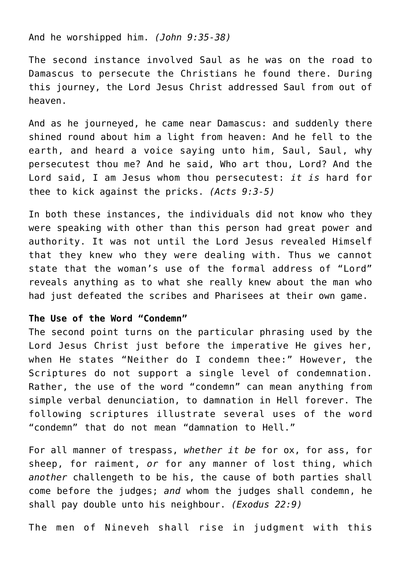And he worshipped him. *(John 9:35-38)*

The second instance involved Saul as he was on the road to Damascus to persecute the Christians he found there. During this journey, the Lord Jesus Christ addressed Saul from out of heaven.

And as he journeyed, he came near Damascus: and suddenly there shined round about him a light from heaven: And he fell to the earth, and heard a voice saying unto him, Saul, Saul, why persecutest thou me? And he said, Who art thou, Lord? And the Lord said, I am Jesus whom thou persecutest: *it is* hard for thee to kick against the pricks. *(Acts 9:3-5)*

In both these instances, the individuals did not know who they were speaking with other than this person had great power and authority. It was not until the Lord Jesus revealed Himself that they knew who they were dealing with. Thus we cannot state that the woman's use of the formal address of "Lord" reveals anything as to what she really knew about the man who had just defeated the scribes and Pharisees at their own game.

## **The Use of the Word "Condemn"**

The second point turns on the particular phrasing used by the Lord Jesus Christ just before the imperative He gives her, when He states "Neither do I condemn thee:" However, the Scriptures do not support a single level of condemnation. Rather, the use of the word "condemn" can mean anything from simple verbal denunciation, to damnation in Hell forever. The following scriptures illustrate several uses of the word "condemn" that do not mean "damnation to Hell."

For all manner of trespass, *whether it be* for ox, for ass, for sheep, for raiment, *or* for any manner of lost thing, which *another* challengeth to be his, the cause of both parties shall come before the judges; *and* whom the judges shall condemn, he shall pay double unto his neighbour. *(Exodus 22:9)*

The men of Nineveh shall rise in judgment with this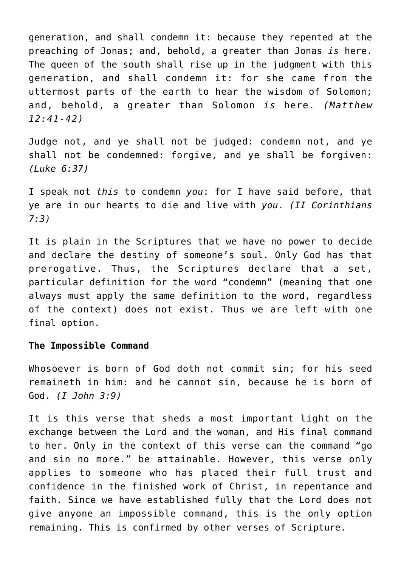generation, and shall condemn it: because they repented at the preaching of Jonas; and, behold, a greater than Jonas *is* here. The queen of the south shall rise up in the judgment with this generation, and shall condemn it: for she came from the uttermost parts of the earth to hear the wisdom of Solomon; and, behold, a greater than Solomon *is* here. *(Matthew 12:41-42)*

Judge not, and ye shall not be judged: condemn not, and ye shall not be condemned: forgive, and ye shall be forgiven: *(Luke 6:37)*

I speak not *this* to condemn *you*: for I have said before, that ye are in our hearts to die and live with *you*. *(II Corinthians 7:3)*

It is plain in the Scriptures that we have no power to decide and declare the destiny of someone's soul. Only God has that prerogative. Thus, the Scriptures declare that a set, particular definition for the word "condemn" (meaning that one always must apply the same definition to the word, regardless of the context) does not exist. Thus we are left with one final option.

#### **The Impossible Command**

Whosoever is born of God doth not commit sin; for his seed remaineth in him: and he cannot sin, because he is born of God. *(I John 3:9)*

It is this verse that sheds a most important light on the exchange between the Lord and the woman, and His final command to her. Only in the context of this verse can the command "go and sin no more." be attainable. However, this verse only applies to someone who has placed their full trust and confidence in the finished work of Christ, in repentance and faith. Since we have established fully that the Lord does not give anyone an impossible command, this is the only option remaining. This is confirmed by other verses of Scripture.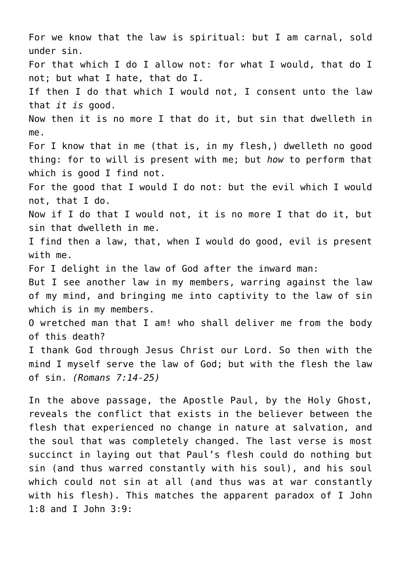For we know that the law is spiritual: but I am carnal, sold under sin. For that which I do I allow not: for what I would, that do I not; but what I hate, that do I. If then I do that which I would not, I consent unto the law that *it is* good. Now then it is no more I that do it, but sin that dwelleth in me. For I know that in me (that is, in my flesh,) dwelleth no good thing: for to will is present with me; but *how* to perform that which is good I find not. For the good that I would I do not: but the evil which I would not, that I do. Now if I do that I would not, it is no more I that do it, but sin that dwelleth in me. I find then a law, that, when I would do good, evil is present with me. For I delight in the law of God after the inward man: But I see another law in my members, warring against the law of my mind, and bringing me into captivity to the law of sin which is in my members. O wretched man that I am! who shall deliver me from the body of this death? I thank God through Jesus Christ our Lord. So then with the mind I myself serve the law of God; but with the flesh the law of sin. *(Romans 7:14-25)*

In the above passage, the Apostle Paul, by the Holy Ghost, reveals the conflict that exists in the believer between the flesh that experienced no change in nature at salvation, and the soul that was completely changed. The last verse is most succinct in laying out that Paul's flesh could do nothing but sin (and thus warred constantly with his soul), and his soul which could not sin at all (and thus was at war constantly with his flesh). This matches the apparent paradox of I John 1:8 and I John 3:9: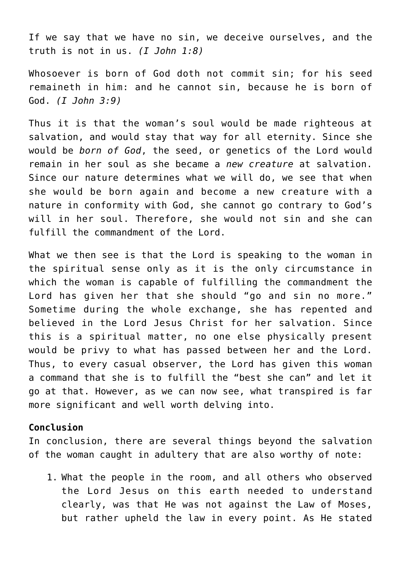If we say that we have no sin, we deceive ourselves, and the truth is not in us. *(I John 1:8)*

Whosoever is born of God doth not commit sin; for his seed remaineth in him: and he cannot sin, because he is born of God. *(I John 3:9)*

Thus it is that the woman's soul would be made righteous at salvation, and would stay that way for all eternity. Since she would be *born of God*, the seed, or genetics of the Lord would remain in her soul as she became a *new creature* at salvation. Since our nature determines what we will do, we see that when she would be born again and become a new creature with a nature in conformity with God, she cannot go contrary to God's will in her soul. Therefore, she would not sin and she can fulfill the commandment of the Lord.

What we then see is that the Lord is speaking to the woman in the spiritual sense only as it is the only circumstance in which the woman is capable of fulfilling the commandment the Lord has given her that she should "go and sin no more." Sometime during the whole exchange, she has repented and believed in the Lord Jesus Christ for her salvation. Since this is a spiritual matter, no one else physically present would be privy to what has passed between her and the Lord. Thus, to every casual observer, the Lord has given this woman a command that she is to fulfill the "best she can" and let it go at that. However, as we can now see, what transpired is far more significant and well worth delving into.

# **Conclusion**

In conclusion, there are several things beyond the salvation of the woman caught in adultery that are also worthy of note:

1. What the people in the room, and all others who observed the Lord Jesus on this earth needed to understand clearly, was that He was not against the Law of Moses, but rather upheld the law in every point. As He stated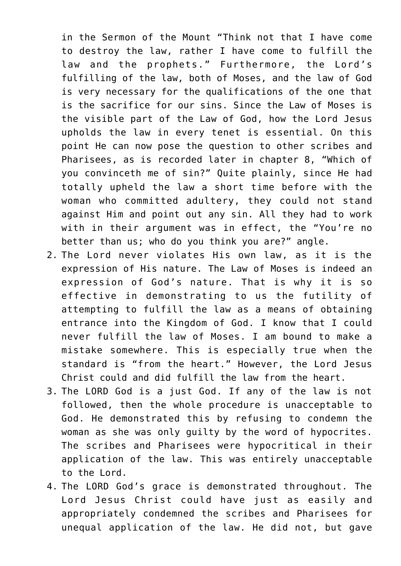in the Sermon of the Mount "Think not that I have come to destroy the law, rather I have come to fulfill the law and the prophets." Furthermore, the Lord's fulfilling of the law, both of Moses, and the law of God is very necessary for the qualifications of the one that is the sacrifice for our sins. Since the Law of Moses is the visible part of the Law of God, how the Lord Jesus upholds the law in every tenet is essential. On this point He can now pose the question to other scribes and Pharisees, as is recorded later in chapter 8, "Which of you convinceth me of sin?" Quite plainly, since He had totally upheld the law a short time before with the woman who committed adultery, they could not stand against Him and point out any sin. All they had to work with in their argument was in effect, the "You're no better than us; who do you think you are?" angle.

- 2. The Lord never violates His own law, as it is the expression of His nature. The Law of Moses is indeed an expression of God's nature. That is why it is so effective in demonstrating to us the futility of attempting to fulfill the law as a means of obtaining entrance into the Kingdom of God. I know that I could never fulfill the law of Moses. I am bound to make a mistake somewhere. This is especially true when the standard is "from the heart." However, the Lord Jesus Christ could and did fulfill the law from the heart.
- 3. The LORD God is a just God. If any of the law is not followed, then the whole procedure is unacceptable to God. He demonstrated this by refusing to condemn the woman as she was only guilty by the word of hypocrites. The scribes and Pharisees were hypocritical in their application of the law. This was entirely unacceptable to the Lord.
- 4. The LORD God's grace is demonstrated throughout. The Lord Jesus Christ could have just as easily and appropriately condemned the scribes and Pharisees for unequal application of the law. He did not, but gave